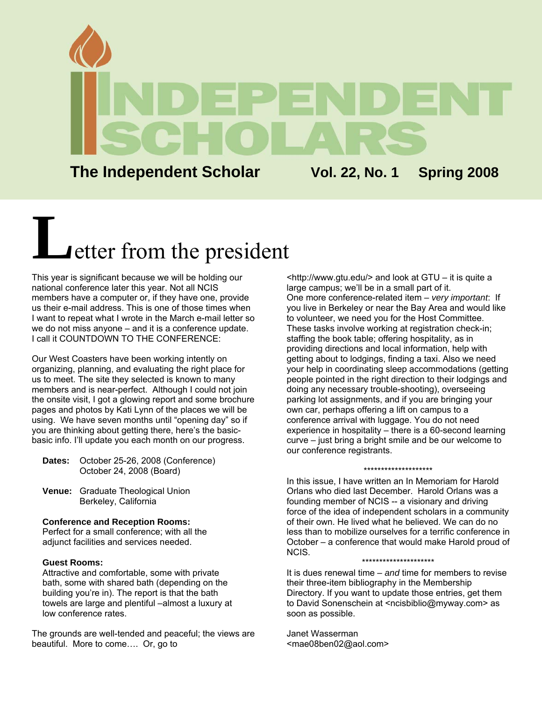

**The Independent Scholar Vol. 22, No. 1 Spring 2008**

# **L**etter from the president

This year is significant because we will be holding our national conference later this year. Not all NCIS members have a computer or, if they have one, provide us their e-mail address. This is one of those times when I want to repeat what I wrote in the March e-mail letter so we do not miss anyone – and it is a conference update. I call it COUNTDOWN TO THE CONFERENCE:

Our West Coasters have been working intently on organizing, planning, and evaluating the right place for us to meet. The site they selected is known to many members and is near-perfect. Although I could not join the onsite visit, I got a glowing report and some brochure pages and photos by Kati Lynn of the places we will be using. We have seven months until "opening day" so if you are thinking about getting there, here's the basicbasic info. I'll update you each month on our progress.

- **Dates:** October 25-26, 2008 (Conference) October 24, 2008 (Board)
- **Venue:** Graduate Theological Union Berkeley, California

#### **Conference and Reception Rooms:**

Perfect for a small conference; with all the adjunct facilities and services needed.

#### **Guest Rooms:**

Attractive and comfortable, some with private bath, some with shared bath (depending on the building you're in). The report is that the bath towels are large and plentiful –almost a luxury at low conference rates.

The grounds are well-tended and peaceful; the views are beautiful. More to come…. Or, go to

<http://www.gtu.edu/> and look at GTU – it is quite a large campus; we'll be in a small part of it. One more conference-related item – *very important*: If you live in Berkeley or near the Bay Area and would like to volunteer, we need you for the Host Committee. These tasks involve working at registration check-in; staffing the book table; offering hospitality, as in providing directions and local information, help with getting about to lodgings, finding a taxi. Also we need your help in coordinating sleep accommodations (getting people pointed in the right direction to their lodgings and doing any necessary trouble-shooting), overseeing parking lot assignments, and if you are bringing your own car, perhaps offering a lift on campus to a conference arrival with luggage. You do not need experience in hospitality – there is a 60-second learning curve – just bring a bright smile and be our welcome to our conference registrants.

#### \*\*\*\*\*\*\*\*\*\*\*\*\*\*\*\*\*\*\*\*

In this issue, I have written an In Memoriam for Harold Orlans who died last December. Harold Orlans was a founding member of NCIS -- a visionary and driving force of the idea of independent scholars in a community of their own. He lived what he believed. We can do no less than to mobilize ourselves for a terrific conference in October – a conference that would make Harold proud of NCIS.

#### \*\*\*\*\*\*\*\*\*\*\*\*\*\*\*\*\*\*\*\*\*

It is dues renewal time – *and* time for members to revise their three-item bibliography in the Membership Directory. If you want to update those entries, get them to David Sonenschein at [<ncisbiblio@myway.com>](mailto:ncisbiblio@myway.com) as soon as possible.

Janet Wasserman <[mae08ben02@aol.com>](mailto:mae08ben02@aol.com)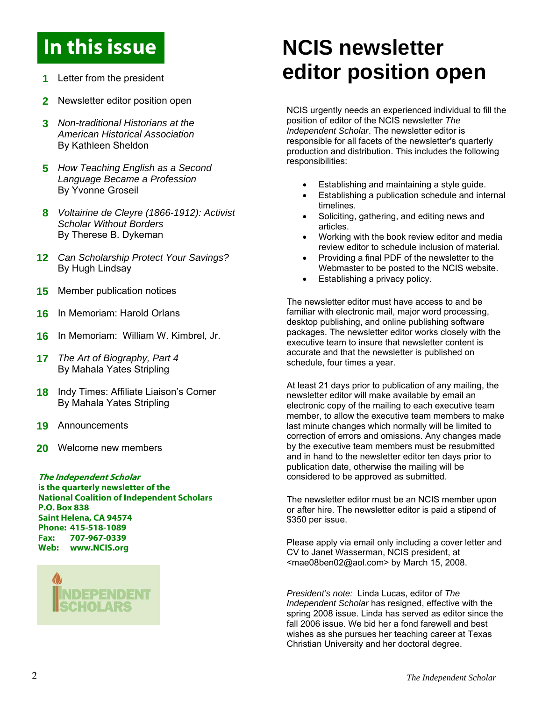### In this issue

- **1** Letter from the president
- **2** Newsletter editor position open
- **3** *Non-traditional Historians at the American Historical Association* By Kathleen Sheldon
- **5** *How Teaching English as a Second Language Became a Profession* By Yvonne Groseil
- **8** *Voltairine de Cleyre (1866-1912): Activist Scholar Without Borders*  By Therese B. Dykeman
- **12** *Can Scholarship Protect Your Savings?*  By Hugh Lindsay
- **15** Member publication notices
- **16** In Memoriam: Harold Orlans
- **16** In Memoriam: William W. Kimbrel, Jr.
- **17** *The Art of Biography, Part 4*  By Mahala Yates Stripling
- 18 Indy Times: Affiliate Liaison's Corner By Mahala Yates Stripling
- **19** Announcements
- **20** Welcome new members

is the quarterly newsletter of the National Coalition of Independent Scholars P.O. Box 838 Saint Helena, CA 94574 Phone: 415-518-1089 Fax: 707-967-0339 Web: www.NCIS.org



### **NCIS newsletter editor position open**

NCIS urgently needs an experienced individual to fill the position of editor of the NCIS newsletter *The Independent Scholar*. The newsletter editor is responsible for all facets of the newsletter's quarterly production and distribution. This includes the following responsibilities:

- Establishing and maintaining a style guide.
- Establishing a publication schedule and internal timelines.
- Soliciting, gathering, and editing news and articles.
- Working with the book review editor and media review editor to schedule inclusion of material.
- Providing a final PDF of the newsletter to the Webmaster to be posted to the NCIS website.
- Establishing a privacy policy.

The newsletter editor must have access to and be familiar with electronic mail, major word processing, desktop publishing, and online publishing software packages. The newsletter editor works closely with the executive team to insure that newsletter content is accurate and that the newsletter is published on schedule, four times a year.

At least 21 days prior to publication of any mailing, the newsletter editor will make available by email an electronic copy of the mailing to each executive team member, to allow the executive team members to make last minute changes which normally will be limited to correction of errors and omissions. Any changes made by the executive team members must be resubmitted and in hand to the newsletter editor ten days prior to publication date, otherwise the mailing will be The Independent Scholar considered to be approved as submitted.

> The newsletter editor must be an NCIS member upon or after hire. The newsletter editor is paid a stipend of \$350 per issue.

Please apply via email only including a cover letter and CV to Janet Wasserman, NCIS president, at <mae08ben02@aol.com> by March 15, 2008.

*President's note:* Linda Lucas, editor of *The Independent Scholar* has resigned, effective with the spring 2008 issue. Linda has served as editor since the fall 2006 issue. We bid her a fond farewell and best wishes as she pursues her teaching career at Texas Christian University and her doctoral degree.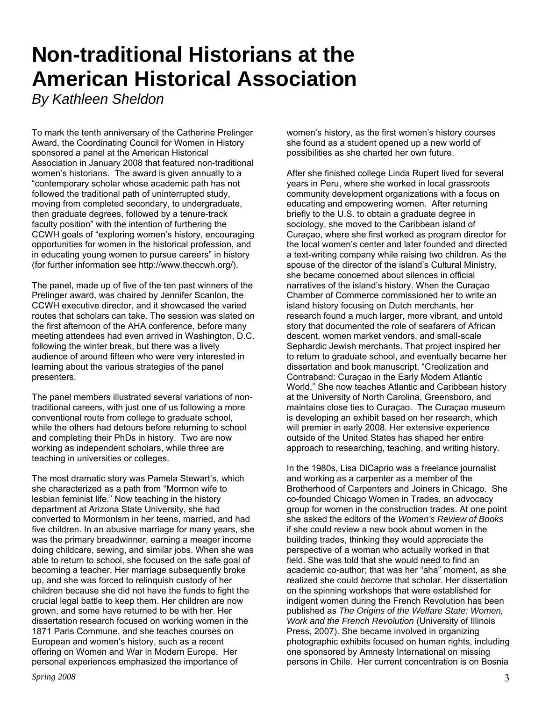### **Non-traditional Historians at the American Historical Association**

*By Kathleen Sheldon* 

To mark the tenth anniversary of the Catherine Prelinger Award, the Coordinating Council for Women in History sponsored a panel at the American Historical Association in January 2008 that featured non-traditional women's historians. The award is given annually to a "contemporary scholar whose academic path has not followed the traditional path of uninterrupted study, moving from completed secondary, to undergraduate, then graduate degrees, followed by a tenure-track faculty position" with the intention of furthering the CCWH goals of "exploring women's history, encouraging opportunities for women in the historical profession, and in educating young women to pursue careers" in history (for further information see http://www.theccwh.org/).

The panel, made up of five of the ten past winners of the Prelinger award, was chaired by Jennifer Scanlon, the CCWH executive director, and it showcased the varied routes that scholars can take. The session was slated on the first afternoon of the AHA conference, before many meeting attendees had even arrived in Washington, D.C. following the winter break, but there was a lively audience of around fifteen who were very interested in learning about the various strategies of the panel presenters.

The panel members illustrated several variations of nontraditional careers, with just one of us following a more conventional route from college to graduate school, while the others had detours before returning to school and completing their PhDs in history. Two are now working as independent scholars, while three are teaching in universities or colleges.

The most dramatic story was Pamela Stewart's, which she characterized as a path from "Mormon wife to lesbian feminist life." Now teaching in the history department at Arizona State University, she had converted to Mormonism in her teens, married, and had five children. In an abusive marriage for many years, she was the primary breadwinner, earning a meager income doing childcare, sewing, and similar jobs. When she was able to return to school, she focused on the safe goal of becoming a teacher. Her marriage subsequently broke up, and she was forced to relinquish custody of her children because she did not have the funds to fight the crucial legal battle to keep them. Her children are now grown, and some have returned to be with her. Her dissertation research focused on working women in the 1871 Paris Commune, and she teaches courses on European and women's history, such as a recent offering on Women and War in Modern Europe. Her personal experiences emphasized the importance of

women's history, as the first women's history courses she found as a student opened up a new world of possibilities as she charted her own future.

After she finished college Linda Rupert lived for several years in Peru, where she worked in local grassroots community development organizations with a focus on educating and empowering women. After returning briefly to the U.S. to obtain a graduate degree in sociology, she moved to the Caribbean island of Curaçao, where she first worked as program director for the local women's center and later founded and directed a text-writing company while raising two children. As the spouse of the director of the island's Cultural Ministry, she became concerned about silences in official narratives of the island's history. When the Curaçao Chamber of Commerce commissioned her to write an island history focusing on Dutch merchants, her research found a much larger, more vibrant, and untold story that documented the role of seafarers of African descent, women market vendors, and small-scale Sephardic Jewish merchants. That project inspired her to return to graduate school, and eventually became her dissertation and book manuscript, "Creolization and Contraband: Curaçao in the Early Modern Atlantic World." She now teaches Atlantic and Caribbean history at the University of North Carolina, Greensboro, and maintains close ties to Curaçao. The Curaçao museum is developing an exhibit based on her research, which will premier in early 2008. Her extensive experience outside of the United States has shaped her entire approach to researching, teaching, and writing history.

In the 1980s, Lisa DiCaprio was a freelance journalist and working as a carpenter as a member of the Brotherhood of Carpenters and Joiners in Chicago. She co-founded Chicago Women in Trades, an advocacy group for women in the construction trades. At one point she asked the editors of the *Women's Review of Books* if she could review a new book about women in the building trades, thinking they would appreciate the perspective of a woman who actually worked in that field. She was told that she would need to find an academic co-author; that was her "aha" moment, as she realized she could *become* that scholar. Her dissertation on the spinning workshops that were established for indigent women during the French Revolution has been published as *The Origins of the Welfare State: Women, Work and the French Revolution* (University of Illinois Press, 2007). She became involved in organizing photographic exhibits focused on human rights, including one sponsored by Amnesty International on missing persons in Chile. Her current concentration is on Bosnia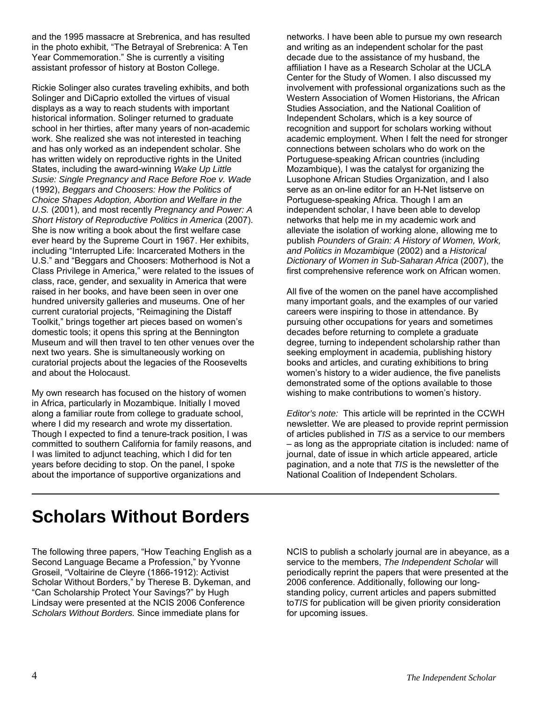and the 1995 massacre at Srebrenica, and has resulted in the photo exhibit, "The Betrayal of Srebrenica: A Ten Year Commemoration." She is currently a visiting assistant professor of history at Boston College.

Rickie Solinger also curates traveling exhibits, and both Solinger and DiCaprio extolled the virtues of visual displays as a way to reach students with important historical information. Solinger returned to graduate school in her thirties, after many years of non-academic work. She realized she was not interested in teaching and has only worked as an independent scholar. She has written widely on reproductive rights in the United States, including the award-winning *Wake Up Little Susie: Single Pregnancy and Race Before Roe v. Wade*  (1992), *Beggars and Choosers: How the Politics of Choice Shapes Adoption, Abortion and Welfare in the U.S.* (2001), and most recently *Pregnancy and Power: A Short History of Reproductive Politics in America* (2007). She is now writing a book about the first welfare case ever heard by the Supreme Court in 1967. Her exhibits, including "Interrupted Life: Incarcerated Mothers in the U.S." and "Beggars and Choosers: Motherhood is Not a Class Privilege in America," were related to the issues of class, race, gender, and sexuality in America that were raised in her books, and have been seen in over one hundred university galleries and museums. One of her current curatorial projects, "Reimagining the Distaff Toolkit," brings together art pieces based on women's domestic tools; it opens this spring at the Bennington Museum and will then travel to ten other venues over the next two years. She is simultaneously working on curatorial projects about the legacies of the Roosevelts and about the Holocaust.

My own research has focused on the history of women in Africa, particularly in Mozambique. Initially I moved along a familiar route from college to graduate school, where I did my research and wrote my dissertation. Though I expected to find a tenure-track position, I was committed to southern California for family reasons, and I was limited to adjunct teaching, which I did for ten years before deciding to stop. On the panel, I spoke about the importance of supportive organizations and

networks. I have been able to pursue my own research and writing as an independent scholar for the past decade due to the assistance of my husband, the affiliation I have as a Research Scholar at the UCLA Center for the Study of Women. I also discussed my involvement with professional organizations such as the Western Association of Women Historians, the African Studies Association, and the National Coalition of Independent Scholars, which is a key source of recognition and support for scholars working without academic employment. When I felt the need for stronger connections between scholars who do work on the Portuguese-speaking African countries (including Mozambique), I was the catalyst for organizing the Lusophone African Studies Organization, and I also serve as an on-line editor for an H-Net listserve on Portuguese-speaking Africa. Though I am an independent scholar, I have been able to develop networks that help me in my academic work and alleviate the isolation of working alone, allowing me to publish *Pounders of Grain: A History of Women, Work, and Politics in Mozambique* (2002) and a *Historical Dictionary of Women in Sub-Saharan Africa* (2007), the first comprehensive reference work on African women.

All five of the women on the panel have accomplished many important goals, and the examples of our varied careers were inspiring to those in attendance. By pursuing other occupations for years and sometimes decades before returning to complete a graduate degree, turning to independent scholarship rather than seeking employment in academia, publishing history books and articles, and curating exhibitions to bring women's history to a wider audience, the five panelists demonstrated some of the options available to those wishing to make contributions to women's history.

*Editor's note:* This article will be reprinted in the CCWH newsletter. We are pleased to provide reprint permission of articles published in *TIS* as a service to our members – as long as the appropriate citation is included: name of journal, date of issue in which article appeared, article pagination, and a note that *TIS* is the newsletter of the National Coalition of Independent Scholars.

### **Scholars Without Borders**

The following three papers, "How Teaching English as a Second Language Became a Profession," by Yvonne Groseil, "Voltairine de Cleyre (1866-1912): Activist Scholar Without Borders," by Therese B. Dykeman, and "Can Scholarship Protect Your Savings?" by Hugh Lindsay were presented at the NCIS 2006 Conference *Scholars Without Borders.* Since immediate plans for

NCIS to publish a scholarly journal are in abeyance, as a service to the members, *The Independent Scholar* will periodically reprint the papers that were presented at the 2006 conference. Additionally, following our longstanding policy, current articles and papers submitted to*TIS* for publication will be given priority consideration for upcoming issues.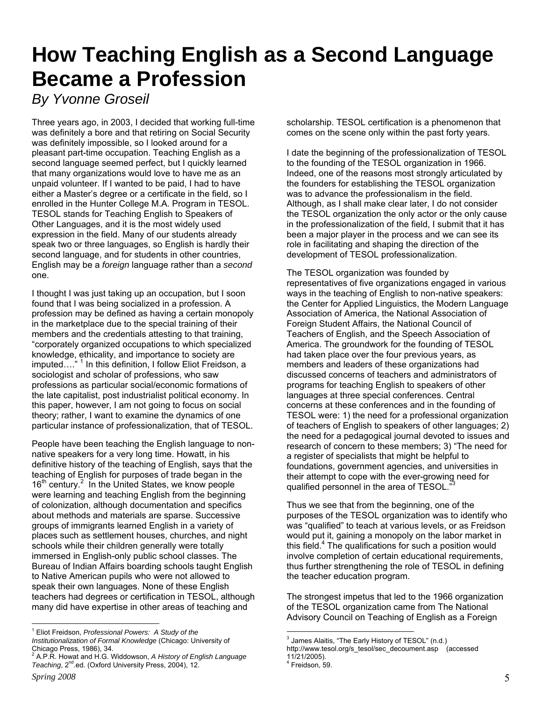### **How Teaching English as a Second Language Became a Profession**

### *By Yvonne Groseil*

Three years ago, in 2003, I decided that working full-time was definitely a bore and that retiring on Social Security was definitely impossible, so I looked around for a pleasant part-time occupation. Teaching English as a second language seemed perfect, but I quickly learned that many organizations would love to have me as an unpaid volunteer. If I wanted to be paid, I had to have either a Master's degree or a certificate in the field, so I enrolled in the Hunter College M.A. Program in TESOL. TESOL stands for Teaching English to Speakers of Other Languages, and it is the most widely used expression in the field. Many of our students already speak two or three languages, so English is hardly their second language, and for students in other countries, English may be a *foreign* language rather than a *second* one.

I thought I was just taking up an occupation, but I soon found that I was being socialized in a profession. A profession may be defined as having a certain monopoly in the marketplace due to the special training of their members and the credentials attesting to that training, "corporately organized occupations to which specialized knowledge, ethicality, and importance to society are imputed...." <sup>1</sup> In this definition, I follow Eliot Freidson, a sociologist and scholar of professions, who saw professions as particular social/economic formations of the late capitalist, post industrialist political economy. In this paper, however, I am not going to focus on social theory; rather, I want to examine the dynamics of one particular instance of professionalization, that of TESOL.

People have been teaching the English language to nonnative speakers for a very long time. Howatt, in his definitive history of the teaching of English, says that the teaching of English for purposes of trade began in the 16<sup>th</sup> century.<sup>[2](#page-4-1)</sup> In the United States, we know people were learning and teaching English from the beginning of colonization, although documentation and specifics about methods and materials are sparse. Successive groups of immigrants learned English in a variety of places such as settlement houses, churches, and night schools while their children generally were totally immersed in English-only public school classes. The Bureau of Indian Affairs boarding schools taught English to Native American pupils who were not allowed to speak their own languages. None of these English teachers had degrees or certification in TESOL, although many did have expertise in other areas of teaching and

scholarship. TESOL certification is a phenomenon that comes on the scene only within the past forty years.

I date the beginning of the professionalization of TESOL to the founding of the TESOL organization in 1966. Indeed, one of the reasons most strongly articulated by the founders for establishing the TESOL organization was to advance the professionalism in the field. Although, as I shall make clear later, I do not consider the TESOL organization the only actor or the only cause in the professionalization of the field, I submit that it has been a major player in the process and we can see its role in facilitating and shaping the direction of the development of TESOL professionalization.

The TESOL organization was founded by representatives of five organizations engaged in various ways in the teaching of English to non-native speakers: the Center for Applied Linguistics, the Modern Language Association of America, the National Association of Foreign Student Affairs, the National Council of Teachers of English, and the Speech Association of America. The groundwork for the founding of TESOL had taken place over the four previous years, as members and leaders of these organizations had discussed concerns of teachers and administrators of programs for teaching English to speakers of other languages at three special conferences. Central concerns at these conferences and in the founding of TESOL were: 1) the need for a professional organization of teachers of English to speakers of other languages; 2) the need for a pedagogical journal devoted to issues and research of concern to these members; 3) "The need for a register of specialists that might be helpful to foundations, government agencies, and universities in their attempt to cope with the ever-growing need for qualified personnel in the area of TESOL."

Thus we see that from the beginning, one of the purposes of the TESOL organization was to identify who was "qualified" to teach at various levels, or as Freidson would put it, gaining a monopoly on the labor market in this field.<sup>4</sup> The qualifications for such a position would involve completion of certain educational requirements, thus further strengthening the role of TESOL in defining the teacher education program.

The strongest impetus that led to the 1966 organization of the TESOL organization came from The National Advisory Council on Teaching of English as a Foreign

<span id="page-4-0"></span> $\overline{a}$  <sup>1</sup> Eliot Freidson, *Professional Powers: A Study of the Institutionalization of Formal Knowledge* (Chicago: University of

<span id="page-4-1"></span>Chicago Press, 1986), 34. 2 A.P.R. Howat and H.G. Widdowson, *A History of English Language*  Teaching, 2<sup>nd</sup>.ed. (Oxford University Press, 2004), 12.

<span id="page-4-2"></span><sup>3</sup> James Alaitis, "The Early History of TESOL" (n.d.)

http://www.tesol.org/s\_tesol/sec\_decoument.asp (accessed 11/21/2005).

<span id="page-4-3"></span><sup>4</sup> Freidson, 59.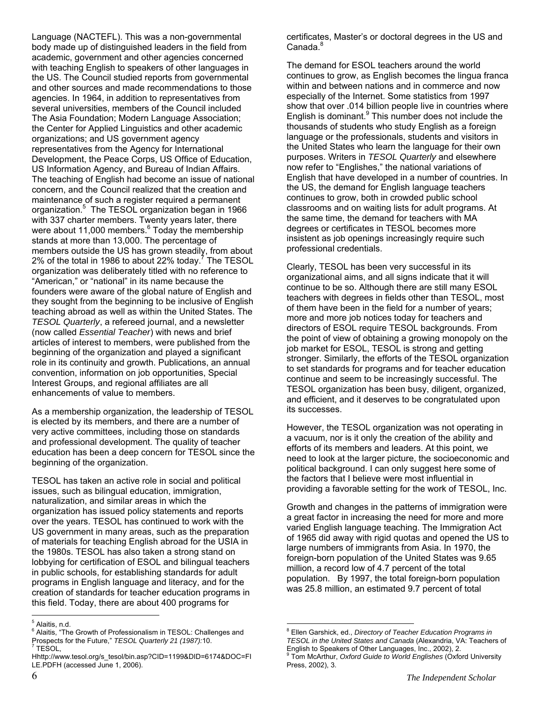Language (NACTEFL). This was a non-governmental body made up of distinguished leaders in the field from academic, government and other agencies concerned with teaching English to speakers of other languages in the US. The Council studied reports from governmental and other sources and made recommendations to those agencies. In 1964, in addition to representatives from several universities, members of the Council included The Asia Foundation; Modern Language Association; the Center for Applied Linguistics and other academic organizations; and US government agency representatives from the Agency for International Development, the Peace Corps, US Office of Education, US Information Agency, and Bureau of Indian Affairs. The teaching of English had become an issue of national concern, and the Council realized that the creation and maintenance of such a register required a permanent organization.<sup>5</sup> The TESOL organization began in 1966 with 337 charter members. Twenty years later, there wereabout 11,000 members.<sup>6</sup> Today the membership stands at more than 13,000. The percentage of members outside the US has grown steadily, from about 2% of the total in 1986 to about 22% today.<sup>[7](#page-5-2)</sup> The TESOL organization was deliberately titled with no reference to "American," or "national" in its name because the founders were aware of the global nature of English and they sought from the beginning to be inclusive of English teaching abroad as well as within the United States. The *TESOL Quarterly*, a refereed journal, and a newsletter (now called *Essential Teacher*) with news and brief articles of interest to members, were published from the beginning of the organization and played a significant role in its continuity and growth. Publications, an annual convention, information on job opportunities, Special Interest Groups, and regional affiliates are all enhancements of value to members.

As a membership organization, the leadership of TESOL is elected by its members, and there are a number of very active committees, including those on standards and professional development. The quality of teacher education has been a deep concern for TESOL since the beginning of the organization.

TESOL has taken an active role in social and political issues, such as bilingual education, immigration, naturalization, and similar areas in which the organization has issued policy statements and reports over the years. TESOL has continued to work with the US government in many areas, such as the preparation of materials for teaching English abroad for the USIA in the 1980s. TESOL has also taken a strong stand on lobbying for certification of ESOL and bilingual teachers in public schools, for establishing standards for adult programs in English language and literacy, and for the creation of standards for teacher education programs in this field. Today, there are about 400 programs for

certificates, Master's or doctoral degrees in the US and  $C$ anada. $<sup>8</sup>$  $<sup>8</sup>$  $<sup>8</sup>$ </sup>

The demand for ESOL teachers around the world continues to grow, as English becomes the lingua franca within and between nations and in commerce and now especially of the Internet. Some statistics from 1997 show that over .014 billion people live in countries where English is dominant. $9$  This number does not include the thousands of students who study English as a foreign language or the professionals, students and visitors in the United States who learn the language for their own purposes. Writers in *TESOL Quarterly* and elsewhere now refer to "Englishes," the national variations of English that have developed in a number of countries. In the US, the demand for English language teachers continues to grow, both in crowded public school classrooms and on waiting lists for adult programs. At the same time, the demand for teachers with MA degrees or certificates in TESOL becomes more insistent as job openings increasingly require such professional credentials.

Clearly, TESOL has been very successful in its organizational aims, and all signs indicate that it will continue to be so. Although there are still many ESOL teachers with degrees in fields other than TESOL, most of them have been in the field for a number of years; more and more job notices today for teachers and directors of ESOL require TESOL backgrounds. From the point of view of obtaining a growing monopoly on the job market for ESOL, TESOL is strong and getting stronger. Similarly, the efforts of the TESOL organization to set standards for programs and for teacher education continue and seem to be increasingly successful. The TESOL organization has been busy, diligent, organized, and efficient, and it deserves to be congratulated upon its successes.

However, the TESOL organization was not operating in a vacuum, nor is it only the creation of the ability and efforts of its members and leaders. At this point, we need to look at the larger picture, the socioeconomic and political background. I can only suggest here some of the factors that I believe were most influential in providing a favorable setting for the work of TESOL, Inc.

Growth and changes in the patterns of immigration were a great factor in increasing the need for more and more varied English language teaching. The Immigration Act of 1965 did away with rigid quotas and opened the US to large numbers of immigrants from Asia. In 1970, the foreign-born population of the United States was 9.65 million, a record low of 4.7 percent of the total population. By 1997, the total foreign-born population was 25.8 million, an estimated 9.7 percent of total

<sup>-&</sup>lt;br>5 Alaitis, n.d.

<span id="page-5-1"></span><span id="page-5-0"></span><sup>&</sup>lt;sup>6</sup> Alaitis, "The Growth of Professionalism in TESOL: Challenges and Prospects for the Future," *TESOL Quarterly 21 (1987):*10.<br><sup>7</sup> TESOL,

<span id="page-5-2"></span>Hhttp://www.tesol.org/s\_tesol/bin.asp?CID=1199&DID=6174&DOC=FI LE.PDFH (accessed June 1, 2006).

<span id="page-5-4"></span><span id="page-5-3"></span><sup>8</sup> Ellen Garshick, ed., *Directory of Teacher Education Programs in TESOL in the United States and Canada* (Alexandria, VA: Teachers of English to Speakers of Other Languages, Inc., 2002), 2. 9 Tom McArthur, *Oxford Guide to World Englishes* (Oxford University Press, 2002), 3.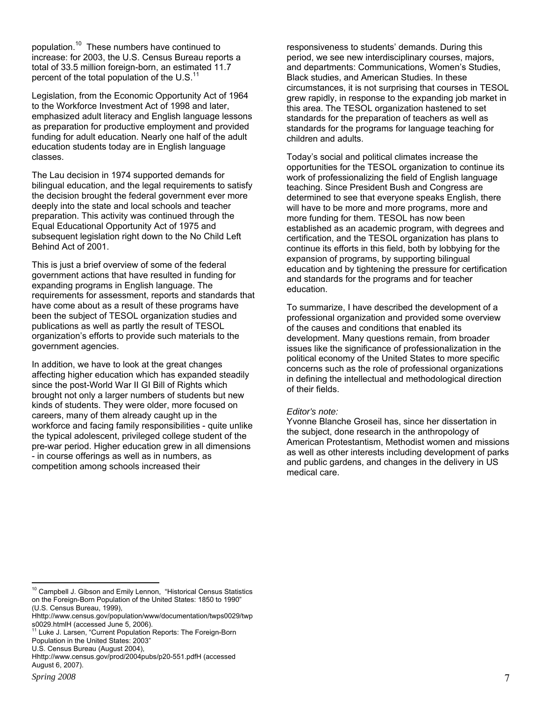population.<sup>10</sup> These numbers have continued to increase: for 2003, the U.S. Census Bureau reports a total of 33.5 million foreign-born, an estimated 11.7 percent of the total population of the  $U.S.<sup>11</sup>$  $U.S.<sup>11</sup>$  $U.S.<sup>11</sup>$ 

Legislation, from the Economic Opportunity Act of 1964 to the Workforce Investment Act of 1998 and later, emphasized adult literacy and English language lessons as preparation for productive employment and provided funding for adult education. Nearly one half of the adult education students today are in English language classes.

The Lau decision in 1974 supported demands for bilingual education, and the legal requirements to satisfy the decision brought the federal government ever more deeply into the state and local schools and teacher preparation. This activity was continued through the Equal Educational Opportunity Act of 1975 and subsequent legislation right down to the No Child Left Behind Act of 2001.

This is just a brief overview of some of the federal government actions that have resulted in funding for expanding programs in English language. The requirements for assessment, reports and standards that have come about as a result of these programs have been the subject of TESOL organization studies and publications as well as partly the result of TESOL organization's efforts to provide such materials to the government agencies.

In addition, we have to look at the great changes affecting higher education which has expanded steadily since the post-World War II GI Bill of Rights which brought not only a larger numbers of students but new kinds of students. They were older, more focused on careers, many of them already caught up in the workforce and facing family responsibilities - quite unlike the typical adolescent, privileged college student of the pre-war period. Higher education grew in all dimensions - in course offerings as well as in numbers, as competition among schools increased their

responsiveness to students' demands. During this period, we see new interdisciplinary courses, majors, and departments: Communications, Women's Studies, Black studies, and American Studies. In these circumstances, it is not surprising that courses in TESOL grew rapidly, in response to the expanding job market in this area. The TESOL organization hastened to set standards for the preparation of teachers as well as standards for the programs for language teaching for children and adults.

Today's social and political climates increase the opportunities for the TESOL organization to continue its work of professionalizing the field of English language teaching. Since President Bush and Congress are determined to see that everyone speaks English, there will have to be more and more programs, more and more funding for them. TESOL has now been established as an academic program, with degrees and certification, and the TESOL organization has plans to continue its efforts in this field, both by lobbying for the expansion of programs, by supporting bilingual education and by tightening the pressure for certification and standards for the programs and for teacher education.

To summarize, I have described the development of a professional organization and provided some overview of the causes and conditions that enabled its development. Many questions remain, from broader issues like the significance of professionalization in the political economy of the United States to more specific concerns such as the role of professional organizations in defining the intellectual and methodological direction of their fields.

#### *Editor's note:*

Yvonne Blanche Groseil has, since her dissertation in the subject, done research in the anthropology of American Protestantism, Methodist women and missions as well as other interests including development of parks and public gardens, and changes in the delivery in US medical care.

 $\overline{a}$ 

<span id="page-6-0"></span> $10$  Campbell J. Gibson and Emily Lennon, "Historical Census Statistics on the Foreign-Born Population of the United States: 1850 to 1990" (U.S. Census Bureau, 1999),

Hhttp://www.census.gov/population/www/documentation/twps0029/twp

<span id="page-6-1"></span>s0029.htmlH (accessed June 5, 2006). 11 Luke J. Larsen, "Current Population Reports: The Foreign-Born

Population in the United States: 2003"

U.S. Census Bureau (August 2004),

Hhttp://www.census.gov/prod/2004pubs/p20-551.pdfH (accessed August 6, 2007).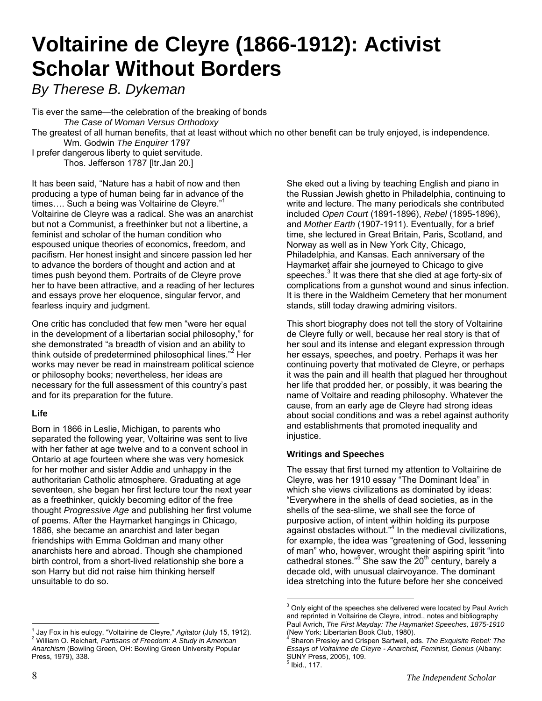### **Voltairine de Cleyre (1866-1912): Activist Scholar Without Borders**

*By Therese B. Dykeman* 

Tis ever the same—the celebration of the breaking of bonds  *The Case of Woman Versus Orthodoxy*  The greatest of all human benefits, that at least without which no other benefit can be truly enjoyed, is independence. Wm. Godwin *The Enquirer* 1797 I prefer dangerous liberty to quiet servitude.

Thos. Jefferson 1787 [ltr.Jan 20.]

It has been said, "Nature has a habit of now and then producing a type of human being far in advance of the times.... Such a being was Voltairine de Cleyre."<sup>[1](#page-7-0)</sup> Voltairine de Cleyre was a radical. She was an anarchist but not a Communist, a freethinker but not a libertine, a feminist and scholar of the human condition who espoused unique theories of economics, freedom, and pacifism. Her honest insight and sincere passion led her to advance the borders of thought and action and at times push beyond them. Portraits of de Cleyre prove her to have been attractive, and a reading of her lectures and essays prove her eloquence, singular fervor, and fearless inquiry and judgment.

One critic has concluded that few men "were her equal in the development of a libertarian social philosophy," for she demonstrated "a breadth of vision and an ability to think outside of predetermined philosophical lines."<sup>[2](#page-7-1)</sup> Her works may never be read in mainstream political science or philosophy books; nevertheless, her ideas are necessary for the full assessment of this country's past and for its preparation for the future.

### **Life**

Born in 1866 in Leslie, Michigan, to parents who separated the following year, Voltairine was sent to live with her father at age twelve and to a convent school in Ontario at age fourteen where she was very homesick for her mother and sister Addie and unhappy in the authoritarian Catholic atmosphere. Graduating at age seventeen, she began her first lecture tour the next year as a freethinker, quickly becoming editor of the free thought *Progressive Age* and publishing her first volume of poems. After the Haymarket hangings in Chicago, 1886, she became an anarchist and later began friendships with Emma Goldman and many other anarchists here and abroad. Though she championed birth control, from a short-lived relationship she bore a son Harry but did not raise him thinking herself unsuitable to do so.

<span id="page-7-1"></span><span id="page-7-0"></span> $\overline{a}$ <sup>1</sup> Jay Fox in his eulogy, "Voltairine de Cleyre," *Agitator* (July 15, 1912).<br><sup>2</sup> William O. Rejshert, Regisses of Freedom, A Study in American. William O. Reichart, *Partisans of Freedom: A Study in American Anarchism* (Bowling Green, OH: Bowling Green University Popular Press, 1979), 338.

She eked out a living by teaching English and piano in the Russian Jewish ghetto in Philadelphia, continuing to write and lecture. The many periodicals she contributed included *Open Court* (1891-1896), *Rebel* (1895-1896), and *Mother Earth* (1907-1911). Eventually, for a brief time, she lectured in Great Britain, Paris, Scotland, and Norway as well as in New York City, Chicago, Philadelphia, and Kansas. Each anniversary of the Haymarket affair she journeyed to Chicago to give speeches.<sup>3</sup> It was there that she died at age forty-six of complications from a gunshot wound and sinus infection. It is there in the Waldheim Cemetery that her monument stands, still today drawing admiring visitors.

This short biography does not tell the story of Voltairine de Cleyre fully or well, because her real story is that of her soul and its intense and elegant expression through her essays, speeches, and poetry. Perhaps it was her continuing poverty that motivated de Cleyre, or perhaps it was the pain and ill health that plagued her throughout her life that prodded her, or possibly, it was bearing the name of Voltaire and reading philosophy. Whatever the cause, from an early age de Cleyre had strong ideas about social conditions and was a rebel against authority and establishments that promoted inequality and injustice.

### **Writings and Speeches**

The essay that first turned my attention to Voltairine de Cleyre, was her 1910 essay "The Dominant Idea" in which she views civilizations as dominated by ideas: "Everywhere in the shells of dead societies, as in the shells of the sea-slime, we shall see the force of purposive action, of intent within holding its purpose against obstacles without."[4](#page-7-3) In the medieval civilizations, for example, the idea was "greatening of God, lessening of man" who, however, wrought their aspiring spirit "into cathedral stones."<sup>[5](#page-7-4)</sup> She saw the 20<sup>th</sup> century, barely a decade old, with unusual clairvoyance. The dominant idea stretching into the future before her she conceived

<span id="page-7-2"></span> $\frac{3}{3}$  Only eight of the speeches she delivered were located by Paul Avrich and reprinted in Voltairine de Cleyre, introd., notes and bibliography Paul Avrich, *The First Mayday: The Haymarket Speeches, 1875-1910*  (New York: Libertarian Book Club, 1980).

<span id="page-7-4"></span><span id="page-7-3"></span>Sharon Presley and Crispen Sartwell, eds. *The Exquisite Rebel: The Essays of Voltairine de Cleyre - Anarchist, Feminist, Genius* (Albany: SUNY Press, 2005), 109.  $^5$  Ibid., 117.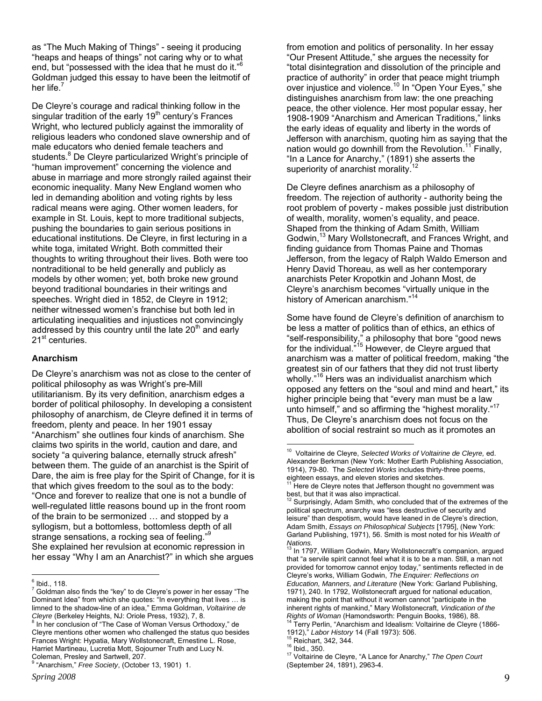as "The Much Making of Things" - seeing it producing "heaps and heaps of things" not caring why or to what end, but "possessed with the idea that he must do it."[6](#page-8-0) Goldman judged this essay to have been the leitmotif of her life.

De Cleyre's courage and radical thinking follow in the singular tradition of the early 19<sup>th</sup> century's Frances Wright, who lectured publicly against the immorality of religious leaders who condoned slave ownership and of male educators who denied female teachers and students.<sup>[8](#page-8-2)</sup> De Cleyre particularized Wright's principle of "human improvement" concerning the violence and abuse in marriage and more strongly railed against their economic inequality. Many New England women who led in demanding abolition and voting rights by less radical means were aging. Other women leaders, for example in St. Louis, kept to more traditional subjects, pushing the boundaries to gain serious positions in educational institutions. De Cleyre, in first lecturing in a white toga, imitated Wright. Both committed their thoughts to writing throughout their lives. Both were too nontraditional to be held generally and publicly as models by other women; yet, both broke new ground beyond traditional boundaries in their writings and speeches. Wright died in 1852, de Cleyre in 1912; neither witnessed women's franchise but both led in articulating inequalities and injustices not convincingly addressed by this country until the late  $20<sup>th</sup>$  and early 21<sup>st</sup> centuries.

#### **Anarchism**

De Cleyre's anarchism was not as close to the center of political philosophy as was Wright's pre-Mill utilitarianism. By its very definition, anarchism edges a border of political philosophy. In developing a consistent philosophy of anarchism, de Cleyre defined it in terms of freedom, plenty and peace. In her 1901 essay "Anarchism" she outlines four kinds of anarchism. She claims two spirits in the world, caution and dare, and society "a quivering balance, eternally struck afresh" between them. The guide of an anarchist is the Spirit of Dare, the aim is free play for the Spirit of Change, for it is that which gives freedom to the soul as to the body: "Once and forever to realize that one is not a bundle of well-regulated little reasons bound up in the front room of the brain to be sermonized … and stopped by a syllogism, but a bottomless, bottomless depth of all strange sensations, a rocking sea of feeling." She explained her revulsion at economic repression in her essay "Why I am an Anarchist?" in which she argues

from emotion and politics of personality. In her essay "Our Present Attitude," she argues the necessity for "total disintegration and dissolution of the principle and practice of authority" in order that peace might triumph over injustice and violence.<sup>10</sup> In "Open Your Eyes," she distinguishes anarchism from law: the one preaching peace, the other violence. Her most popular essay, her 1908-1909 "Anarchism and American Traditions," links the early ideas of equality and liberty in the words of Jefferson with anarchism, quoting him as saying that the nation would go downhill from the Revolution.<sup>11</sup> Finally, "In a Lance for Anarchy," (1891) she asserts the superiority of anarchist morality.<sup>1</sup>

De Cleyre defines anarchism as a philosophy of freedom. The rejection of authority - authority being the root problem of poverty - makes possible just distribution of wealth, morality, women's equality, and peace. Shaped from the thinking of Adam Smith, William Godwin,<sup>13</sup> Mary Wollstonecraft, and Frances Wright, and finding guidance from Thomas Paine and Thomas Jefferson, from the legacy of Ralph Waldo Emerson and Henry David Thoreau, as well as her contemporary anarchists Peter Kropotkin and Johann Most, de Cleyre's anarchism becomes "virtually unique in the history of American anarchism."<sup>[14](#page-8-8)</sup>

Some have found de Cleyre's definition of anarchism to be less a matter of politics than of ethics, an ethics of "self-responsibility," a philosophy that bore "good news for the individual.<sup>"15</sup> However, de Cleyre argued that anarchism was a matter of political freedom, making "the greatest sin of our fathers that they did not trust liberty wholly."<sup>16</sup> Hers was an individualist anarchism which opposed any fetters on the "soul and mind and heart," its higher principle being that "every man must be a law unto himself," and so affirming the "highest morality."[17](#page-8-11) Thus, De Cleyre's anarchism does not focus on the abolition of social restraint so much as it promotes an

 $\overline{a}$ 

 $\overline{a}$  $^6$  Ibid., 118.

<span id="page-8-1"></span><span id="page-8-0"></span> $7$  Goldman also finds the "key" to de Cleyre's power in her essay "The Dominant Idea" from which she quotes: "In everything that lives … is limned to the shadow-line of an idea," Emma Goldman, *Voltairine de Cleyre* (Berkeley Heights, NJ: Oriole Press, 1932), 7, 8.

<span id="page-8-2"></span> $8$  In her conclusion of "The Case of Woman Versus Orthodoxy," de Cleyre mentions other women who challenged the status quo besides Frances Wright: Hypatia, Mary Wollstonecraft, Ernestine L. Rose, Harriet Martineau, Lucretia Mott, Sojourner Truth and Lucy N. Coleman, Presley and Sartwell, 207.

<span id="page-8-3"></span> <sup>&</sup>quot;Anarchism," *Free Society*, (October 13, 1901) 1.

<span id="page-8-4"></span><sup>10</sup> Voltairine de Cleyre, *Selected Works of Voltairine de Cleyre,* ed. Alexander Berkman (New York: Mother Earth Publishing Association, 1914), 79-80. The *Selected Works* includes thirty-three poems,

<span id="page-8-5"></span>Here de Cleyre notes that Jefferson thought no government was best, but that it was also impractical.<br><sup>12</sup> Surprisingly, Adam Smith, who concluded that of the extremes of the

<span id="page-8-6"></span>political spectrum, anarchy was "less destructive of security and leisure" than despotism, would have leaned in de Cleyre's direction, Adam Smith, *Essays on Philosophical Subjects* [1795], (New York: Garland Publishing, 1971), 56. Smith is most noted for his *Wealth of Nations.*

<span id="page-8-7"></span>In 1797, William Godwin, Mary Wollstonecraft's companion, argued that "a servile spirit cannot feel what it is to be a man. Still, a man not provided for tomorrow cannot enjoy today," sentiments reflected in de Cleyre's works, William Godwin, *The Enquirer: Reflections on Education, Manners, and Literature* (New York: Garland Publishing, 1971), 240. In 1792, Wollstonecraft argued for national education, making the point that without it women cannot "participate in the inherent rights of mankind," Mary Wollstonecraft, *Vindication of the Rights of Woman* (Hamondsworth: Penguin Books, 1986), 88.<br><sup>14</sup> Terry Perlin, "Anarchism and Idealism: Voltairine de Cleyre (1866-

<span id="page-8-9"></span>

<span id="page-8-11"></span><span id="page-8-10"></span>

<span id="page-8-8"></span><sup>1912),&</sup>quot; *Labor History* 14 (Fall 1973): 506.<br><sup>15</sup> Reichart, 342, 344.<br><sup>16</sup> Ibid., 350. 17 Voltairine de Cleyre, "A Lance for Anarchy," *The Open Court* (September 24, 1891), 2963-4.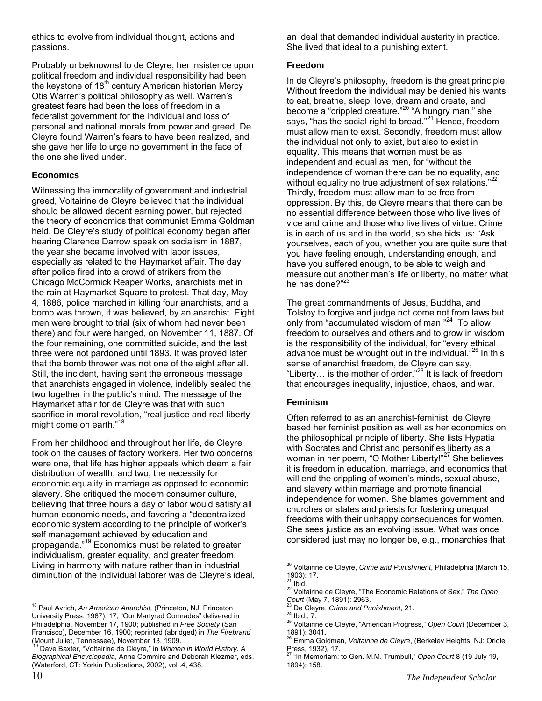ethics to evolve from individual thought, actions and passions.

Probably unbeknownst to de Cleyre, her insistence upon political freedom and individual responsibility had been the keystone of  $18<sup>th</sup>$  century American historian Mercy Otis Warren's political philosophy as well. Warren's greatest fears had been the loss of freedom in a federalist government for the individual and loss of personal and national morals from power and greed. De Cleyre found Warren's fears to have been realized, and she gave her life to urge no government in the face of the one she lived under.

### **Economics**

Witnessing the immorality of government and industrial greed, Voltairine de Cleyre believed that the individual should be allowed decent earning power, but rejected the theory of economics that communist Emma Goldman held. De Cleyre's study of political economy began after hearing Clarence Darrow speak on socialism in 1887, the year she became involved with labor issues, especially as related to the Haymarket affair. The day after police fired into a crowd of strikers from the Chicago McCormick Reaper Works, anarchists met in the rain at Haymarket Square to protest. That day, May 4, 1886, police marched in killing four anarchists, and a bomb was thrown, it was believed, by an anarchist. Eight men were brought to trial (six of whom had never been there) and four were hanged, on November 11, 1887. Of the four remaining, one committed suicide, and the last three were not pardoned until 1893. It was proved later that the bomb thrower was not one of the eight after all. Still, the incident, having sent the erroneous message that anarchists engaged in violence, indelibly sealed the two together in the public's mind. The message of the Haymarket affair for de Cleyre was that with such sacrifice in moral revolution, "real justice and real liberty might come on earth."<sup>18</sup>

From her childhood and throughout her life, de Cleyre took on the causes of factory workers. Her two concerns were one, that life has higher appeals which deem a fair distribution of wealth, and two, the necessity for economic equality in marriage as opposed to economic slavery. She critiqued the modern consumer culture, believing that three hours a day of labor would satisfy all human economic needs, and favoring a "decentralized economic system according to the principle of worker's self management achieved by education and propaganda."[19](#page-9-1) Economics must be related to greater individualism, greater equality, and greater freedom. Living in harmony with nature rather than in industrial diminution of the individual laborer was de Cleyre's ideal, an ideal that demanded individual austerity in practice. She lived that ideal to a punishing extent.

### **Freedom**

In de Cleyre's philosophy, freedom is the great principle. Without freedom the individual may be denied his wants to eat, breathe, sleep, love, dream and create, and become a "crippled creature."<sup>20</sup> "A hungry man," she says, "has the social right to bread."<sup>21</sup> Hence, freedom must allow man to exist. Secondly, freedom must allow the individual not only to exist, but also to exist in equality. This means that women must be as independent and equal as men, for "without the independence of woman there can be no equality, and without equality no true adjustment of sex relations."<sup>[22](#page-9-4)</sup> Thirdly, freedom must allow man to be free from oppression. By this, de Cleyre means that there can be no essential difference between those who live lives of vice and crime and those who live lives of virtue. Crime is in each of us and in the world, so she bids us: "Ask yourselves, each of you, whether you are quite sure that you have feeling enough, understanding enough, and have you suffered enough, to be able to weigh and measure out another man's life or liberty, no matter what he has done?"<sup>[23](#page-9-5)</sup>

The great commandments of Jesus, Buddha, and Tolstoy to forgive and judge not come not from laws but only from "accumulated wisdom of man."[24](#page-9-6) To allow freedom to ourselves and others and to grow in wisdom is the responsibility of the individual, for "every ethical advance must be wrought out in the individual."<sup>25</sup> In this sense of anarchist freedom, de Cleyre can say, "Liberty... is the mother of order." $^{26}$  It is lack of freedom that encourages inequality, injustice, chaos, and war.

### **Feminism**

Often referred to as an anarchist-feminist, de Cleyre based her feminist position as well as her economics on the philosophical principle of liberty. She lists Hypatia with Socrates and Christ and personifies liberty as a woman in her poem, "O Mother Liberty!"<sup>27</sup> She believes it is freedom in education, marriage, and economics that will end the crippling of women's minds, sexual abuse, and slavery within marriage and promote financial independence for women. She blames government and churches or states and priests for fostering unequal freedoms with their unhappy consequences for women. She sees justice as an evolving issue. What was once considered just may no longer be, e.g., monarchies that

 $\overline{a}$ 

<span id="page-9-0"></span> $\overline{a}$ 18 Paul Avrich, *An American Anarchist,* (Princeton, NJ: Princeton University Press, 1987), 17; "Our Martyred Comrades" delivered in Philadelphia, November 17, 1900; published in *Free Society* (San Francisco), December 16, 1900; reprinted (abridged) in *The Firebrand* (Mount Juliet, Tennessee), November 13, 1909.<br><sup>19</sup> Dave Boxtor (Noterline), November 13, 1909.

<span id="page-9-1"></span> <sup>19</sup> Dave Baxter, "Voltairine de Cleyre," in *Women in World History. A Biographical Encyclopedia*, Anne Commire and Deborah Klezmer, eds. (Waterford, CT: Yorkin Publications, 2002), vol .4, 438.

<span id="page-9-2"></span><sup>20</sup> Voltairine de Cleyre, *Crime and Punishment*, Philadelphia (March 15, 1903): 17.<br><sup>21</sup> Ibid.

<span id="page-9-3"></span>

<span id="page-9-4"></span><sup>&</sup>lt;sup>22</sup> Voltairine de Cleyre, "The Economic Relations of Sex," *The Open*<br>Court (May 7, 1891): 2963.<br><sup>23</sup> De Cleure, Critics and Burk busses of

<span id="page-9-5"></span>

<span id="page-9-7"></span><span id="page-9-6"></span>

<sup>&</sup>lt;sup>23</sup> De Cleyre, *Crime and Punishment*, 21.<br><sup>24</sup> Ibid., 7.<br><sup>25</sup> Voltairine de Cleyre, "American Progress," *Open Court* (December 3, 1891): 3041.

<span id="page-9-8"></span><sup>26</sup> Emma Goldman, *Voltairine de Cleyre*, (Berkeley Heights, NJ: Oriole Press, 1932), 17.

<span id="page-9-9"></span><sup>27 &</sup>quot;In Memoriam: to Gen. M.M. Trumbull," *Open Court* 8 (19 July 19, 1894): 158.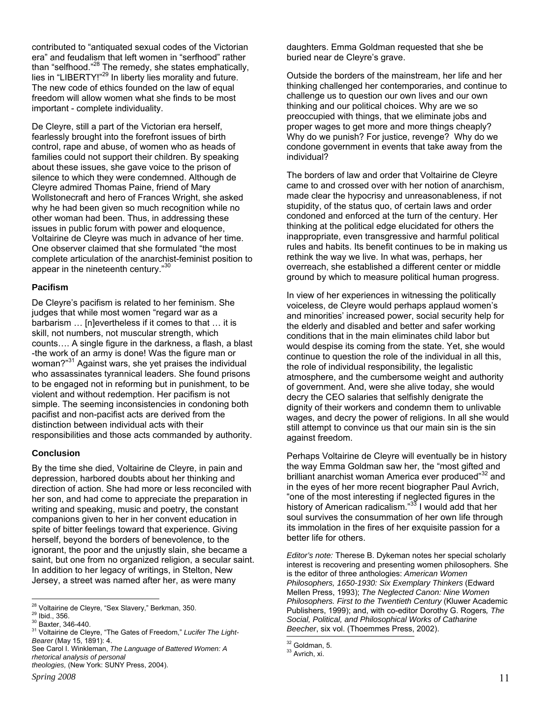contributed to "antiquated sexual codes of the Victorian era" and feudalism that left women in "serfhood" rather than "selfhood."<sup>28</sup> The remedy, she states emphatically, lies in "LIBERTY!"<sup>29</sup> In liberty lies morality and future. The new code of ethics founded on the law of equal freedom will allow women what she finds to be most important - complete individuality.

De Cleyre, still a part of the Victorian era herself, fearlessly brought into the forefront issues of birth control, rape and abuse, of women who as heads of families could not support their children. By speaking about these issues, she gave voice to the prison of silence to which they were condemned. Although de Cleyre admired Thomas Paine, friend of Mary Wollstonecraft and hero of Frances Wright, she asked why he had been given so much recognition while no other woman had been. Thus, in addressing these issues in public forum with power and eloquence, Voltairine de Cleyre was much in advance of her time. One observer claimed that she formulated "the most complete articulation of the anarchist-feminist position to appear in the nineteenth century."<sup>[30](#page-10-2)</sup>

#### **Pacifism**

De Cleyre's pacifism is related to her feminism. She judges that while most women "regard war as a barbarism … [n]evertheless if it comes to that … it is skill, not numbers, not muscular strength, which counts…. A single figure in the darkness, a flash, a blast -the work of an army is done! Was the figure man or woman?"[31](#page-10-3) Against wars, she yet praises the individual who assassinates tyrannical leaders. She found prisons to be engaged not in reforming but in punishment, to be violent and without redemption. Her pacifism is not simple. The seeming inconsistencies in condoning both pacifist and non-pacifist acts are derived from the distinction between individual acts with their responsibilities and those acts commanded by authority.

### **Conclusion**

By the time she died, Voltairine de Cleyre, in pain and depression, harbored doubts about her thinking and direction of action. She had more or less reconciled with her son, and had come to appreciate the preparation in writing and speaking, music and poetry, the constant companions given to her in her convent education in spite of bitter feelings toward that experience. Giving herself, beyond the borders of benevolence, to the ignorant, the poor and the unjustly slain, she became a saint, but one from no organized religion, a secular saint. In addition to her legacy of writings, in Stelton, New Jersey, a street was named after her, as were many

daughters. Emma Goldman requested that she be buried near de Cleyre's grave.

Outside the borders of the mainstream, her life and her thinking challenged her contemporaries, and continue to challenge us to question our own lives and our own thinking and our political choices. Why are we so preoccupied with things, that we eliminate jobs and proper wages to get more and more things cheaply? Why do we punish? For justice, revenge? Why do we condone government in events that take away from the individual?

The borders of law and order that Voltairine de Cleyre came to and crossed over with her notion of anarchism, made clear the hypocrisy and unreasonableness, if not stupidity, of the status quo, of certain laws and order condoned and enforced at the turn of the century. Her thinking at the political edge elucidated for others the inappropriate, even transgressive and harmful political rules and habits. Its benefit continues to be in making us rethink the way we live. In what was, perhaps, her overreach, she established a different center or middle ground by which to measure political human progress.

In view of her experiences in witnessing the politically voiceless, de Cleyre would perhaps applaud women's and minorities' increased power, social security help for the elderly and disabled and better and safer working conditions that in the main eliminates child labor but would despise its coming from the state. Yet, she would continue to question the role of the individual in all this, the role of individual responsibility, the legalistic atmosphere, and the cumbersome weight and authority of government. And, were she alive today, she would decry the CEO salaries that selfishly denigrate the dignity of their workers and condemn them to unlivable wages, and decry the power of religions. In all she would still attempt to convince us that our main sin is the sin against freedom.

Perhaps Voltairine de Cleyre will eventually be in history the way Emma Goldman saw her, the "most gifted and brilliant anarchist woman America ever produced"<sup>32</sup> and in the eyes of her more recent biographer Paul Avrich, "one of the most interesting if neglected figures in the history of American radicalism."<sup>33</sup> I would add that her soul survives the consummation of her own life through its immolation in the fires of her exquisite passion for a better life for others.

*Editor's note:* Therese B. Dykeman notes her special scholarly interest is recovering and presenting women philosophers. She is the editor of three anthologies: *American Women Philosophers, 1650-1930: Six Exemplary Thinkers* (Edward Mellen Press, 1993); *The Neglected Canon: Nine Women Philosophers. First to the Twentieth Century* (Kluwer Academic Publishers, 1999); and, with co-editor Dorothy G. Rogers*, The Social, Political, and Philosophical Works of Catharine Beecher*, six vol. (Thoemmes Press, 2002).

<span id="page-10-0"></span><sup>&</sup>lt;sup>28</sup> Voltairine de Cleyre, "Sex Slavery," Berkman, 350.

<span id="page-10-1"></span>

<span id="page-10-3"></span><span id="page-10-2"></span>

<sup>&</sup>lt;sup>29</sup> Voltairine de Cleyre, "The Gates of Freedom," Lucifer The Light-<br><sup>30</sup> Baxter, 346-440.<br><sup>31</sup> Voltairine de Cleyre, "The Gates of Freedom," *Lucifer The Light-Bearer* (May 15, 1891): 4.

See Carol I. Winkleman, *The Language of Battered Women: A rhetorical analysis of personal theologies,* (New York: SUNY Press, 2004).

 $32$  Goldman, 5.<br> $33$  Avrich, xi.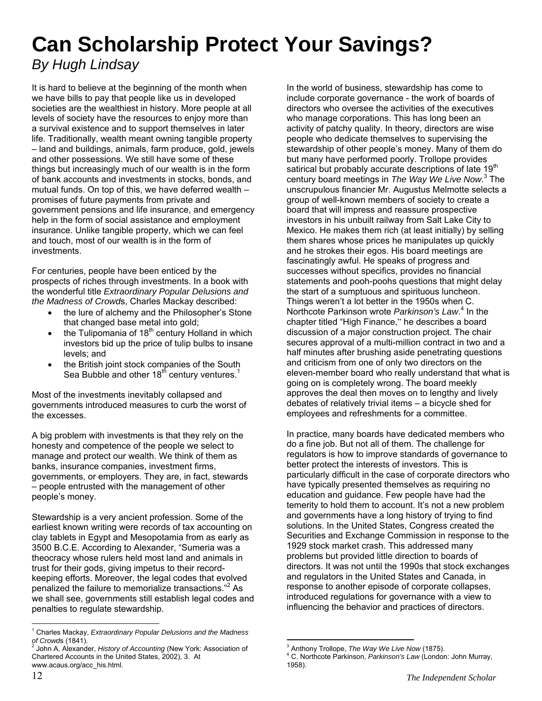# **Can Scholarship Protect Your Savings?**

### *By Hugh Lindsay*

It is hard to believe at the beginning of the month when we have bills to pay that people like us in developed societies are the wealthiest in history. More people at all levels of society have the resources to enjoy more than a survival existence and to support themselves in later life. Traditionally, wealth meant owning tangible property – land and buildings, animals, farm produce, gold, jewels and other possessions. We still have some of these things but increasingly much of our wealth is in the form of bank accounts and investments in stocks, bonds, and mutual funds. On top of this, we have deferred wealth – promises of future payments from private and government pensions and life insurance, and emergency help in the form of social assistance and employment insurance. Unlike tangible property, which we can feel and touch, most of our wealth is in the form of investments.

For centuries, people have been enticed by the prospects of riches through investments. In a book with the wonderful title *Extraordinary Popular Delusions and the Madness of Crowd*s, Charles Mackay described:

- the lure of alchemy and the Philosopher's Stone that changed base metal into gold;
- the Tulipomania of  $18<sup>th</sup>$  century Holland in which investors bid up the price of tulip bulbs to insane levels; and
- the British joint stock companies of the South Sea Bubble and other  $18<sup>th</sup>$  century ventures.<sup>1</sup>

Most of the investments inevitably collapsed and governments introduced measures to curb the worst of the excesses.

A big problem with investments is that they rely on the honesty and competence of the people we select to manage and protect our wealth. We think of them as banks, insurance companies, investment firms, governments, or employers. They are, in fact, stewards – people entrusted with the management of other people's money.

Stewardship is a very ancient profession. Some of the earliest known writing were records of tax accounting on clay tablets in Egypt and Mesopotamia from as early as 3500 B.C.E. According to Alexander, "Sumeria was a theocracy whose rulers held most land and animals in trust for their gods, giving impetus to their recordkeeping efforts. Moreover, the legal codes that evolved penalized the failure to memorialize transactions."<sup>[2](#page-11-1)</sup> As we shall see, governments still establish legal codes and penalties to regulate stewardship.

In the world of business, stewardship has come to include corporate governance - the work of boards of directors who oversee the activities of the executives who manage corporations. This has long been an activity of patchy quality. In theory, directors are wise people who dedicate themselves to supervising the stewardship of other people's money. Many of them do but many have performed poorly. Trollope provides satirical but probably accurate descriptions of late  $19<sup>th</sup>$ century board meetings in *The Way We Live Now*. [3](#page-11-2) The unscrupulous financier Mr. Augustus Melmotte selects a group of well-known members of society to create a board that will impress and reassure prospective investors in his unbuilt railway from Salt Lake City to Mexico. He makes them rich (at least initially) by selling them shares whose prices he manipulates up quickly and he strokes their egos. His board meetings are fascinatingly awful. He speaks of progress and successes without specifics, provides no financial statements and pooh-poohs questions that might delay the start of a sumptuous and spirituous luncheon. Things weren't a lot better in the 1950s when C. Northcote Parkinson wrote *Parkinson's Law*. [4](#page-11-3) In the chapter titled "High Finance," he describes a board discussion of a major construction project. The chair secures approval of a multi-million contract in two and a half minutes after brushing aside penetrating questions and criticism from one of only two directors on the eleven-member board who really understand that what is going on is completely wrong. The board meekly approves the deal then moves on to lengthy and lively debates of relatively trivial items – a bicycle shed for employees and refreshments for a committee.

In practice, many boards have dedicated members who do a fine job. But not all of them. The challenge for regulators is how to improve standards of governance to better protect the interests of investors. This is particularly difficult in the case of corporate directors who have typically presented themselves as requiring no education and guidance. Few people have had the temerity to hold them to account. It's not a new problem and governments have a long history of trying to find solutions. In the United States, Congress created the Securities and Exchange Commission in response to the 1929 stock market crash. This addressed many problems but provided little direction to boards of directors. It was not until the 1990s that stock exchanges and regulators in the United States and Canada, in response to another episode of corporate collapses, introduced regulations for governance with a view to influencing the behavior and practices of directors.

<span id="page-11-0"></span> $\overline{a}$ 1 Charles Mackay, *Extraordinary Popular Delusions and the Madness of Crowds* (1841).<br><sup>2</sup> John A Also

<span id="page-11-1"></span>John A. Alexander, *History of Accounting* (New York: Association of Chartered Accounts in the United States, 2002), 3. At www.acaus.org/acc\_his.html.

 $\overline{a}$ <sup>3</sup> Anthony Trollope, *The Way We Live Now* (1875).<br><sup>4</sup> C. Nextboate Perkinson, *Perkinson's Law (Landar* 

<span id="page-11-3"></span><span id="page-11-2"></span>C. Northcote Parkinson, *Parkinson's Law* (London: John Murray, 1958).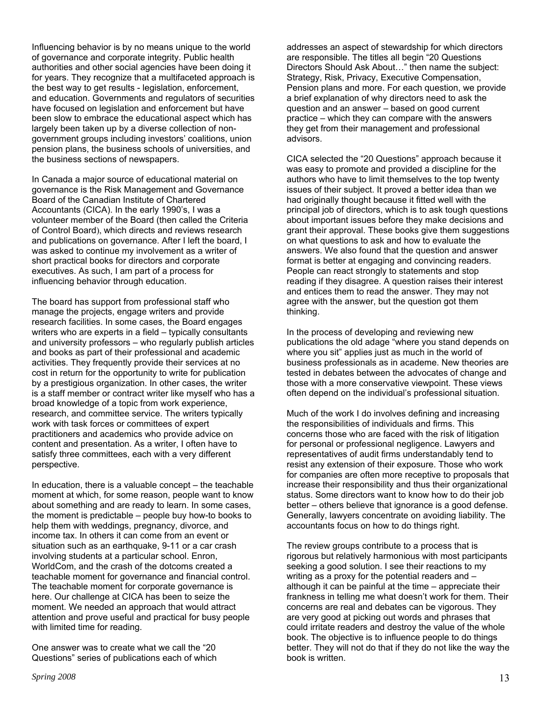Influencing behavior is by no means unique to the world of governance and corporate integrity. Public health authorities and other social agencies have been doing it for years. They recognize that a multifaceted approach is the best way to get results - legislation, enforcement, and education. Governments and regulators of securities have focused on legislation and enforcement but have been slow to embrace the educational aspect which has largely been taken up by a diverse collection of nongovernment groups including investors' coalitions, union pension plans, the business schools of universities, and the business sections of newspapers.

In Canada a major source of educational material on governance is the Risk Management and Governance Board of the Canadian Institute of Chartered Accountants (CICA). In the early 1990's, I was a volunteer member of the Board (then called the Criteria of Control Board), which directs and reviews research and publications on governance. After I left the board, I was asked to continue my involvement as a writer of short practical books for directors and corporate executives. As such, I am part of a process for influencing behavior through education.

The board has support from professional staff who manage the projects, engage writers and provide research facilities. In some cases, the Board engages writers who are experts in a field – typically consultants and university professors – who regularly publish articles and books as part of their professional and academic activities. They frequently provide their services at no cost in return for the opportunity to write for publication by a prestigious organization. In other cases, the writer is a staff member or contract writer like myself who has a broad knowledge of a topic from work experience, research, and committee service. The writers typically work with task forces or committees of expert practitioners and academics who provide advice on content and presentation. As a writer, I often have to satisfy three committees, each with a very different perspective.

In education, there is a valuable concept – the teachable moment at which, for some reason, people want to know about something and are ready to learn. In some cases, the moment is predictable – people buy how-to books to help them with weddings, pregnancy, divorce, and income tax. In others it can come from an event or situation such as an earthquake, 9-11 or a car crash involving students at a particular school. Enron, WorldCom, and the crash of the dotcoms created a teachable moment for governance and financial control. The teachable moment for corporate governance is here. Our challenge at CICA has been to seize the moment. We needed an approach that would attract attention and prove useful and practical for busy people with limited time for reading.

One answer was to create what we call the "20 Questions" series of publications each of which addresses an aspect of stewardship for which directors are responsible. The titles all begin "20 Questions Directors Should Ask About…" then name the subject: Strategy, Risk, Privacy, Executive Compensation, Pension plans and more. For each question, we provide a brief explanation of why directors need to ask the question and an answer – based on good current practice – which they can compare with the answers they get from their management and professional advisors.

CICA selected the "20 Questions" approach because it was easy to promote and provided a discipline for the authors who have to limit themselves to the top twenty issues of their subject. It proved a better idea than we had originally thought because it fitted well with the principal job of directors, which is to ask tough questions about important issues before they make decisions and grant their approval. These books give them suggestions on what questions to ask and how to evaluate the answers. We also found that the question and answer format is better at engaging and convincing readers. People can react strongly to statements and stop reading if they disagree. A question raises their interest and entices them to read the answer. They may not agree with the answer, but the question got them thinking.

In the process of developing and reviewing new publications the old adage "where you stand depends on where you sit" applies just as much in the world of business professionals as in academe. New theories are tested in debates between the advocates of change and those with a more conservative viewpoint. These views often depend on the individual's professional situation.

Much of the work I do involves defining and increasing the responsibilities of individuals and firms. This concerns those who are faced with the risk of litigation for personal or professional negligence. Lawyers and representatives of audit firms understandably tend to resist any extension of their exposure. Those who work for companies are often more receptive to proposals that increase their responsibility and thus their organizational status. Some directors want to know how to do their job better – others believe that ignorance is a good defense. Generally, lawyers concentrate on avoiding liability. The accountants focus on how to do things right.

The review groups contribute to a process that is rigorous but relatively harmonious with most participants seeking a good solution. I see their reactions to my writing as a proxy for the potential readers and – although it can be painful at the time – appreciate their frankness in telling me what doesn't work for them. Their concerns are real and debates can be vigorous. They are very good at picking out words and phrases that could irritate readers and destroy the value of the whole book. The objective is to influence people to do things better. They will not do that if they do not like the way the book is written.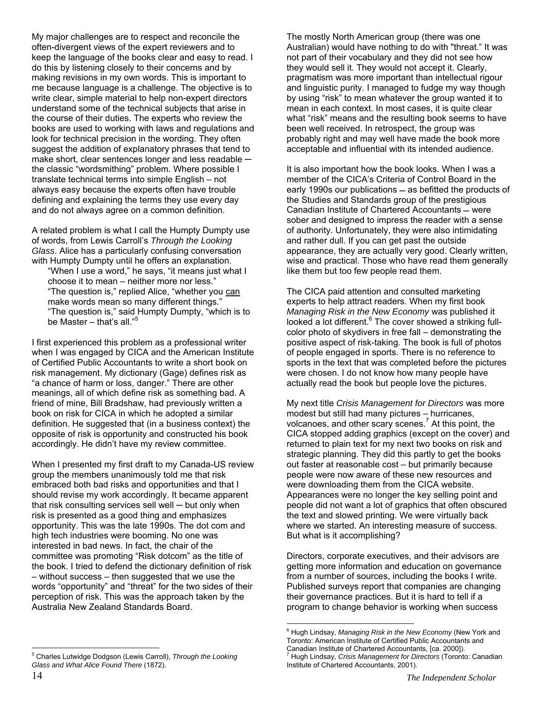My major challenges are to respect and reconcile the often-divergent views of the expert reviewers and to keep the language of the books clear and easy to read. I do this by listening closely to their concerns and by making revisions in my own words. This is important to me because language is a challenge. The objective is to write clear, simple material to help non-expert directors understand some of the technical subjects that arise in the course of their duties. The experts who review the books are used to working with laws and regulations and look for technical precision in the wording. They often suggest the addition of explanatory phrases that tend to make short, clear sentences longer and less readable  $$ the classic "wordsmithing" problem. Where possible I translate technical terms into simple English – not always easy because the experts often have trouble defining and explaining the terms they use every day and do not always agree on a common definition.

A related problem is what I call the Humpty Dumpty use of words, from Lewis Carroll's *Through the Looking Glass*. Alice has a particularly confusing conversation with Humpty Dumpty until he offers an explanation.

"When I use a word," he says, "it means just what I choose it to mean – neither more nor less." "The question is," replied Alice, "whether you can make words mean so many different things." "The question is," said Humpty Dumpty, "which is to be Master – that's all."<sup>[5](#page-13-0)</sup>

I first experienced this problem as a professional writer when I was engaged by CICA and the American Institute of Certified Public Accountants to write a short book on risk management. My dictionary (Gage) defines risk as "a chance of harm or loss, danger." There are other meanings, all of which define risk as something bad. A friend of mine, Bill Bradshaw, had previously written a book on risk for CICA in which he adopted a similar definition. He suggested that (in a business context) the opposite of risk is opportunity and constructed his book accordingly. He didn't have my review committee.

<span id="page-13-0"></span>When I presented my first draft to my Canada-US review group the members unanimously told me that risk embraced both bad risks and opportunities and that I should revise my work accordingly. It became apparent that risk consulting services sell well ─ but only when risk is presented as a good thing and emphasizes opportunity. This was the late 1990s. The dot com and high tech industries were booming. No one was interested in bad news. In fact, the chair of the committee was promoting "Risk dotcom" as the title of the book. I tried to defend the dictionary definition of risk – without success – then suggested that we use the words "opportunity" and "threat" for the two sides of their perception of risk. This was the approach taken by the Australia New Zealand Standards Board.

The mostly North American group (there was one Australian) would have nothing to do with "threat." It was not part of their vocabulary and they did not see how they would sell it. They would not accept it. Clearly, pragmatism was more important than intellectual rigour and linguistic purity. I managed to fudge my way though by using "risk" to mean whatever the group wanted it to mean in each context. In most cases, it is quite clear what "risk" means and the resulting book seems to have been well received. In retrospect, the group was probably right and may well have made the book more acceptable and influential with its intended audience.

It is also important how the book looks. When I was a member of the CICA's Criteria of Control Board in the early 1990s our publications - as befitted the products of the Studies and Standards group of the prestigious Canadian Institute of Chartered Accountants – were sober and designed to impress the reader with a sense of authority. Unfortunately, they were also intimidating and rather dull. If you can get past the outside appearance, they are actually very good. Clearly written, wise and practical. Those who have read them generally like them but too few people read them.

The CICA paid attention and consulted marketing experts to help attract readers. When my first book *Managing Risk in the New Economy* was published it looked a lot different.<sup>[6](#page-13-1)</sup> The cover showed a striking fullcolor photo of skydivers in free fall – demonstrating the positive aspect of risk-taking. The book is full of photos of people engaged in sports. There is no reference to sports in the text that was completed before the pictures were chosen. I do not know how many people have actually read the book but people love the pictures.

My next title *Crisis Management for Directors* was more modest but still had many pictures – hurricanes, volcanoes, and other scary scenes.<sup>[7](#page-13-2)</sup> At this point, the CICA stopped adding graphics (except on the cover) and returned to plain text for my next two books on risk and strategic planning. They did this partly to get the books out faster at reasonable cost – but primarily because people were now aware of these new resources and were downloading them from the CICA website. Appearances were no longer the key selling point and people did not want a lot of graphics that often obscured the text and slowed printing. We were virtually back where we started. An interesting measure of success. But what is it accomplishing?

Directors, corporate executives, and their advisors are getting more information and education on governance from a number of sources, including the books I write. Published surveys report that companies are changing their governance practices. But it is hard to tell if a program to change behavior is working when success

<span id="page-13-2"></span><span id="page-13-1"></span> $\overline{a}$ 6 Hugh Lindsay, *Managing Risk in the New Economy* (New York and Toronto: American Institute of Certified Public Accountants and Canadian Institute of Chartered Accountants, [ca. 2000]). 7 Hugh Lindsay, *Crisis Management for Directors* (Toronto: Canadian Institute of Chartered Accountants, 2001).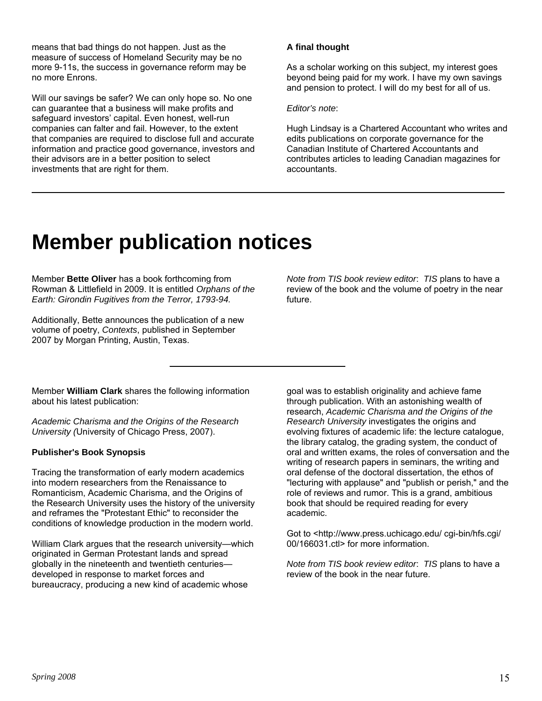means that bad things do not happen. Just as the measure of success of Homeland Security may be no more 9-11s, the success in governance reform may be no more Enrons.

Will our savings be safer? We can only hope so. No one can guarantee that a business will make profits and safeguard investors' capital. Even honest, well-run companies can falter and fail. However, to the extent that companies are required to disclose full and accurate information and practice good governance, investors and their advisors are in a better position to select investments that are right for them.

### **A final thought**

As a scholar working on this subject, my interest goes beyond being paid for my work. I have my own savings and pension to protect. I will do my best for all of us.

#### *Editor's note*:

Hugh Lindsay is a Chartered Accountant who writes and edits publications on corporate governance for the Canadian Institute of Chartered Accountants and contributes articles to leading Canadian magazines for accountants.

### **Member publication notices**

Member **Bette Oliver** has a book forthcoming from Rowman & Littlefield in 2009. It is entitled *Orphans of the Earth: Girondin Fugitives from the Terror, 1793-94.* 

Additionally, Bette announces the publication of a new volume of poetry, *Contexts*, published in September 2007 by Morgan Printing, Austin, Texas.

*Note from TIS book review editor*: *TIS* plans to have a review of the book and the volume of poetry in the near future.

Member **William Clark** shares the following information about his latest publication:

*Academic Charisma and the Origins of the Research University (*University of Chicago Press, 2007).

#### **Publisher's Book Synopsis**

Tracing the transformation of early modern academics into modern researchers from the Renaissance to Romanticism, Academic Charisma, and the Origins of the Research University uses the history of the university and reframes the "Protestant Ethic" to reconsider the conditions of knowledge production in the modern world.

William Clark argues that the research university—which originated in German Protestant lands and spread globally in the nineteenth and twentieth centuries developed in response to market forces and bureaucracy, producing a new kind of academic whose

goal was to establish originality and achieve fame through publication. With an astonishing wealth of research, *Academic Charisma and the Origins of the Research University* investigates the origins and evolving fixtures of academic life: the lecture catalogue, the library catalog, the grading system, the conduct of oral and written exams, the roles of conversation and the writing of research papers in seminars, the writing and oral defense of the doctoral dissertation, the ethos of "lecturing with applause" and "publish or perish," and the role of reviews and rumor. This is a grand, ambitious book that should be required reading for every academic.

Got to <[http://www.press.uchicago.edu/ cgi-bin/hfs.cgi/](http://www.press.uchicago.edu/ cgi-bin/hfs.cgi/ 00/166031.ctl)  [00/166031.ctl](http://www.press.uchicago.edu/ cgi-bin/hfs.cgi/ 00/166031.ctl)> for more information.

*Note from TIS book review editor*: *TIS* plans to have a review of the book in the near future.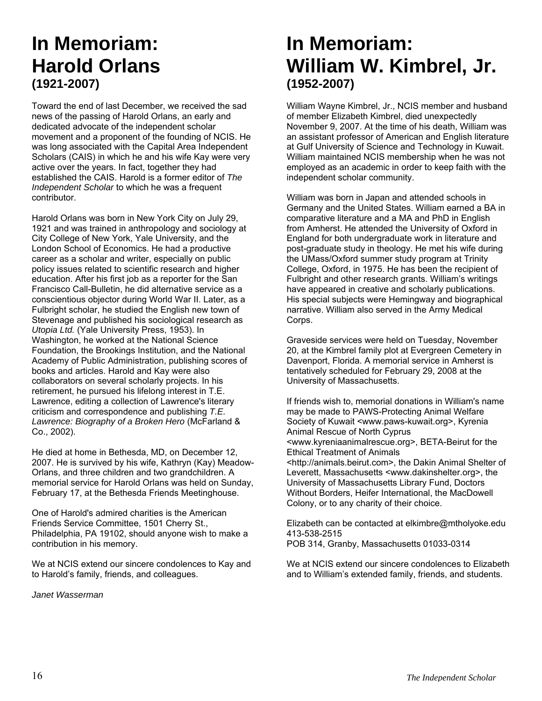### **In Memoriam: Harold Orlans (1921-2007)**

Toward the end of last December, we received the sad news of the passing of Harold Orlans, an early and dedicated advocate of the independent scholar movement and a proponent of the founding of NCIS. He was long associated with the Capital Area Independent Scholars (CAIS) in which he and his wife Kay were very active over the years. In fact, together they had established the CAIS. Harold is a former editor of *The Independent Scholar* to which he was a frequent contributor.

Harold Orlans was born in New York City on July 29, 1921 and was trained in anthropology and sociology at City College of New York, Yale University, and the London School of Economics. He had a productive career as a scholar and writer, especially on public policy issues related to scientific research and higher education. After his first job as a reporter for the San Francisco Call-Bulletin, he did alternative service as a conscientious objector during World War II. Later, as a Fulbright scholar, he studied the English new town of Stevenage and published his sociological research as *Utopia Ltd.* (Yale University Press, 1953). In Washington, he worked at the National Science Foundation, the Brookings Institution, and the National Academy of Public Administration, publishing scores of books and articles. Harold and Kay were also collaborators on several scholarly projects. In his retirement, he pursued his lifelong interest in T.E. Lawrence, editing a collection of Lawrence's literary criticism and correspondence and publishing *T.E. Lawrence: Biography of a Broken Hero* (McFarland & Co., 2002).

He died at home in Bethesda, MD, on December 12, 2007. He is survived by his wife, Kathryn (Kay) Meadow-Orlans, and three children and two grandchildren. A memorial service for Harold Orlans was held on Sunday, February 17, at the Bethesda Friends Meetinghouse.

One of Harold's admired charities is the American Friends Service Committee, 1501 Cherry St., Philadelphia, PA 19102, should anyone wish to make a contribution in his memory.

We at NCIS extend our sincere condolences to Kay and to Harold's family, friends, and colleagues.

*Janet Wasserman* 

### **In Memoriam: William W. Kimbrel, Jr. (1952-2007)**

William Wayne Kimbrel, Jr., NCIS member and husband of member Elizabeth Kimbrel, died unexpectedly November 9, 2007. At the time of his death, William was an assistant professor of American and English literature at Gulf University of Science and Technology in Kuwait. William maintained NCIS membership when he was not employed as an academic in order to keep faith with the independent scholar community.

William was born in Japan and attended schools in Germany and the United States. William earned a BA in comparative literature and a MA and PhD in English from Amherst. He attended the University of Oxford in England for both undergraduate work in literature and post-graduate study in theology. He met his wife during the UMass/Oxford summer study program at Trinity College, Oxford, in 1975. He has been the recipient of Fulbright and other research grants. William's writings have appeared in creative and scholarly publications. His special subjects were Hemingway and biographical narrative. William also served in the Army Medical Corps.

Graveside services were held on Tuesday, November 20, at the Kimbrel family plot at Evergreen Cemetery in Davenport, Florida. A memorial service in Amherst is tentatively scheduled for February 29, 2008 at the University of Massachusetts.

If friends wish to, memorial donations in William's name may be made to PAWS-Protecting Animal Welfare Society of Kuwait <www.paws-kuwait.org>, Kyrenia Animal Rescue of North Cyprus <www.kyreniaanimalrescue.org>, BETA-Beirut for the Ethical Treatment of Animals <http://animals.beirut.com>, the Dakin Animal Shelter of Leverett, Massachusetts <www.dakinshelter.org>, the University of Massachusetts Library Fund, Doctors Without Borders, Heifer International, the MacDowell Colony, or to any charity of their choice.

Elizabeth can be contacted at [elkimbre@mtholyoke.edu](mailto:elkimbre@mtholyoke.edu) 413-538-2515 POB 314, Granby, Massachusetts 01033-0314

We at NCIS extend our sincere condolences to Elizabeth and to William's extended family, friends, and students.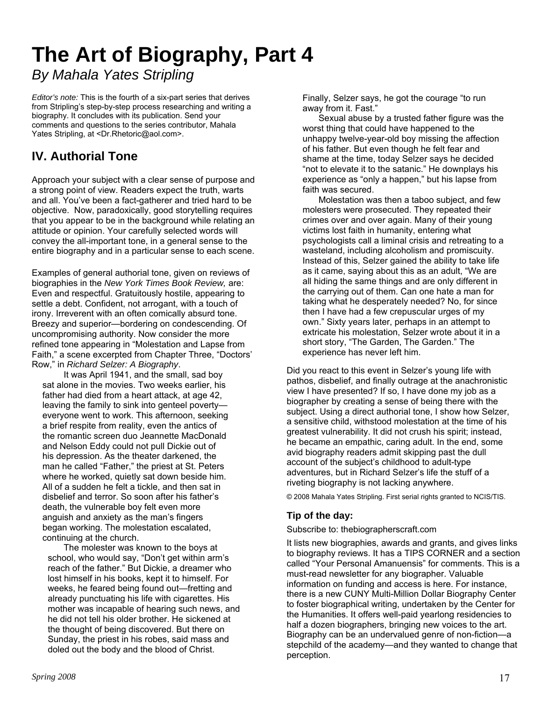### **The Art of Biography, Part 4**

*By Mahala Yates Stripling*

*Editor's note:* This is the fourth of a six-part series that derives from Stripling's step-by-step process researching and writing a biography. It concludes with its publication. Send your comments and questions to the series contributor, Mahala Yates Stripling, at [<Dr.Rhetoric@aol.com](mailto:Dr.Rhetoric@aol.com)>.

### **IV. Authorial Tone**

Approach your subject with a clear sense of purpose and a strong point of view. Readers expect the truth, warts and all. You've been a fact-gatherer and tried hard to be objective. Now, paradoxically, good storytelling requires that you appear to be in the background while relating an attitude or opinion. Your carefully selected words will convey the all-important tone, in a general sense to the entire biography and in a particular sense to each scene.

Examples of general authorial tone, given on reviews of biographies in the *New York Times Book Review,* are: Even and respectful. Gratuitously hostile, appearing to settle a debt. Confident, not arrogant, with a touch of irony. Irreverent with an often comically absurd tone. Breezy and superior—bordering on condescending. Of uncompromising authority. Now consider the more refined tone appearing in "Molestation and Lapse from Faith," a scene excerpted from Chapter Three, "Doctors' Row," in *Richard Selzer: A Biography*.

It was April 1941, and the small, sad boy sat alone in the movies. Two weeks earlier, his father had died from a heart attack, at age 42, leaving the family to sink into genteel poverty everyone went to work. This afternoon, seeking a brief respite from reality, even the antics of the romantic screen duo Jeannette MacDonald and Nelson Eddy could not pull Dickie out of his depression. As the theater darkened, the man he called "Father," the priest at St. Peters where he worked, quietly sat down beside him. All of a sudden he felt a tickle, and then sat in disbelief and terror. So soon after his father's death, the vulnerable boy felt even more anguish and anxiety as the man's fingers began working. The molestation escalated, continuing at the church.

The molester was known to the boys at school, who would say, "Don't get within arm's reach of the father." But Dickie, a dreamer who lost himself in his books, kept it to himself. For weeks, he feared being found out—fretting and already punctuating his life with cigarettes. His mother was incapable of hearing such news, and he did not tell his older brother. He sickened at the thought of being discovered. But there on Sunday, the priest in his robes, said mass and doled out the body and the blood of Christ.

Finally, Selzer says, he got the courage "to run away from it. Fast."

Sexual abuse by a trusted father figure was the worst thing that could have happened to the unhappy twelve-year-old boy missing the affection of his father. But even though he felt fear and shame at the time, today Selzer says he decided "not to elevate it to the satanic." He downplays his experience as "only a happen," but his lapse from faith was secured.

Molestation was then a taboo subject, and few molesters were prosecuted. They repeated their crimes over and over again. Many of their young victims lost faith in humanity, entering what psychologists call a liminal crisis and retreating to a wasteland, including alcoholism and promiscuity. Instead of this, Selzer gained the ability to take life as it came, saying about this as an adult, "We are all hiding the same things and are only different in the carrying out of them. Can one hate a man for taking what he desperately needed? No, for since then I have had a few crepuscular urges of my own." Sixty years later, perhaps in an attempt to extricate his molestation, Selzer wrote about it in a short story, "The Garden, The Garden." The experience has never left him.

Did you react to this event in Selzer's young life with pathos, disbelief, and finally outrage at the anachronistic view I have presented? If so, I have done my job as a biographer by creating a sense of being there with the subject. Using a direct authorial tone, I show how Selzer, a sensitive child, withstood molestation at the time of his greatest vulnerability. It did not crush his spirit; instead, he became an empathic, caring adult. In the end, some avid biography readers admit skipping past the dull account of the subject's childhood to adult-type adventures, but in Richard Selzer's life the stuff of a riveting biography is not lacking anywhere.

© 2008 Mahala Yates Stripling. First serial rights granted to NCIS/TIS.

### **Tip of the day:**

### Subscribe to: thebiographerscraft.com

It lists new biographies, awards and grants, and gives links to biography reviews. It has a TIPS CORNER and a section called "Your Personal Amanuensis" for comments. This is a must-read newsletter for any biographer. Valuable information on funding and access is here. For instance, there is a new CUNY Multi-Million Dollar Biography Center to foster biographical writing, undertaken by the Center for the Humanities. It offers well-paid yearlong residencies to half a dozen biographers, bringing new voices to the art. Biography can be an undervalued genre of non-fiction—a stepchild of the academy—and they wanted to change that perception.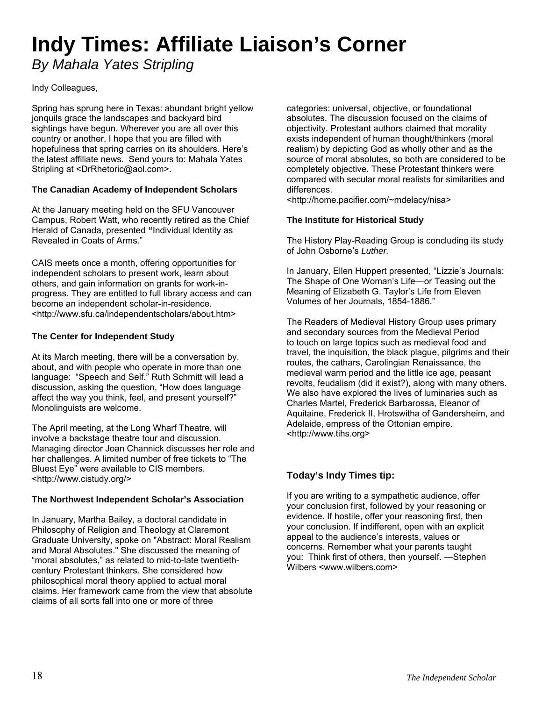## **Indy Times: Affiliate Liaison's Corner**

*By Mahala Yates Stripling*

### Indy Colleagues,

Spring has sprung here in Texas: abundant bright yellow jonquils grace the landscapes and backyard bird sightings have begun. Wherever you are all over this country or another, I hope that you are filled with hopefulness that spring carries on its shoulders. Here's the latest affiliate news. Send yours to: Mahala Yates Stripling at <[DrRhetoric@aol.com](mailto:DrRhetoric@aol.com)>.

### **The Canadian Academy of Independent Scholars**

At the January meeting held on the SFU Vancouver Campus, Robert Watt, who recently retired as the Chief Herald of Canada, presented **"**Individual Identity as Revealed in Coats of Arms."

CAIS meets once a month, offering opportunities for independent scholars to present work, learn about others, and gain information on grants for work-inprogress. They are entitled to full library access and can become an independent scholar-in-residence. <http://www.sfu.ca/independentscholars/about.htm>

### **The Center for Independent Study**

At its March meeting, there will be a conversation by, about, and with people who operate in more than one language: "Speech and Self." Ruth Schmitt will lead a discussion, asking the question, "How does language affect the way you think, feel, and present yourself?" Monolinguists are welcome.

The April meeting, at the Long Wharf Theatre, will involve a backstage theatre tour and discussion. Managing director Joan Channick discusses her role and her challenges. A limited number of free tickets to "The Bluest Eye" were available to CIS members. <[http://www.cistudy.org/>](http://www.cistudy.org/)

### **The Northwest Independent Scholar's Association**

In January, Martha Bailey, a doctoral candidate in Philosophy of Religion and Theology at Claremont Graduate University, spoke on "Abstract: Moral Realism and Moral Absolutes." She discussed the meaning of "moral absolutes," as related to mid-to-late twentiethcentury Protestant thinkers. She considered how philosophical moral theory applied to actual moral claims. Her framework came from the view that absolute claims of all sorts fall into one or more of three

categories: universal, objective, or foundational absolutes. The discussion focused on the claims of objectivity. Protestant authors claimed that morality exists independent of human thought/thinkers (moral realism) by depicting God as wholly other and as the source of moral absolutes, so both are considered to be completely objective. These Protestant thinkers were compared with secular moral realists for similarities and differences.

<[http://home.pacifier.com/~mdelacy/nisa>](http://home.pacifier.com/~mdelacy/nisa)

### **The Institute for Historical Study**

The History Play-Reading Group is concluding its study of John Osborne's *Luther.* 

In January, Ellen Huppert presented, "Lizzie's Journals: The Shape of One Woman's Life—or Teasing out the Meaning of Elizabeth G. Taylor's Life from Eleven Volumes of her Journals, 1854-1886."

The Readers of Medieval History Group uses primary and secondary sources from the Medieval Period to touch on large topics such as medieval food and travel, the inquisition, the black plague, pilgrims and their routes, the cathars, Carolingian Renaissance, the medieval warm period and the little ice age, peasant revolts, feudalism (did it exist?), along with many others. We also have explored the lives of luminaries such as Charles Martel, Frederick Barbarossa, Eleanor of Aquitaine, Frederick II, Hrotswitha of Gandersheim, and Adelaide, empress of the Ottonian empire. <[http://www.tihs.org](http://www.tihs.org/)>

### **Today's Indy Times tip:**

If you are writing to a sympathetic audience, offer your conclusion first, followed by your reasoning or evidence. If hostile, offer your reasoning first, then your conclusion. If indifferent, open with an explicit appeal to the audience's interests, values or concerns. Remember what your parents taught you: Think first of others, then yourself. —Stephen Wilbers <www.wilbers.com>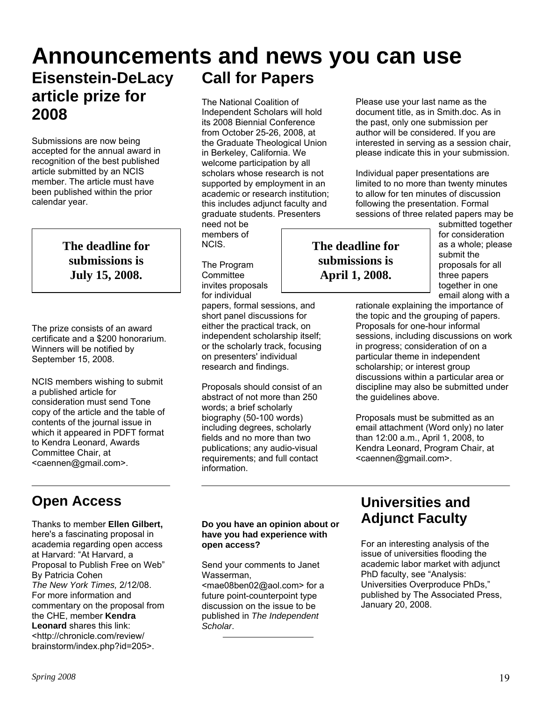#### **Announcements and news you can use Eisenstein-DeLacy article prize for 2008 Call for Papers**  The National Coalition of Independent Scholars will hold Please use your last name as the document title, as in Smith.doc. As in

Submissions are now being accepted for the annual award in recognition of the best published article submitted by an NCIS member. The article must have been published within the prior calendar year.

> **The deadline for submissions is July 15, 2008.**

The prize consists of an award certificate and a \$200 honorarium. Winners will be notified by September 15, 2008.

NCIS members wishing to submit a published article for consideration must send Tone copy of the article and the table of contents of the journal issue in which it appeared in PDFT format to Kendra Leonard, Awards Committee Chair, at <[caennen@gmail.com](mailto:caennen@gmail.com)>.

### **Open Access**

Thanks to member **Ellen Gilbert,**  here's a fascinating proposal in academia regarding open access at Harvard: "At Harvard, a Proposal to Publish Free on Web" By Patricia Cohen *The New York Times,* 2/12/08. For more information and commentary on the proposal from the CHE, member **Kendra Leonard** shares this link: <[http://chronicle.com/review/](http://chronicle.com/review/ brainstorm/index.php?id=205)  [brainstorm/index.php?id=205>](http://chronicle.com/review/ brainstorm/index.php?id=205).

its 2008 Biennial Conference from October 25-26, 2008, at the Graduate Theological Union in Berkeley, California. We welcome participation by all scholars whose research is not supported by employment in an academic or research institution; this includes adjunct faculty and graduate students. Presenters

need not be members of NCIS.

The Program **Committee** invites proposals for individual

papers, formal sessions, and short panel discussions for either the practical track, on independent scholarship itself; or the scholarly track, focusing on presenters' individual research and findings.

Proposals should consist of an abstract of not more than 250 words; a brief scholarly biography (50-100 words) including degrees, scholarly fields and no more than two publications; any audio-visual requirements; and full contact information.

### to allow for ten minutes of discussion following the presentation. Formal sessions of three related papers may be

**The deadline for submissions is April 1, 2008.** 

submitted together for consideration as a whole; please submit the proposals for all three papers together in one email along with a

rationale explaining the importance of the topic and the grouping of papers. Proposals for one-hour informal sessions, including discussions on work in progress; consideration of on a particular theme in independent scholarship; or interest group discussions within a particular area or discipline may also be submitted under the guidelines above.

the past, only one submission per author will be considered. If you are interested in serving as a session chair, please indicate this in your submission.

Individual paper presentations are limited to no more than twenty minutes

Proposals must be submitted as an email attachment (Word only) no later than 12:00 a.m., April 1, 2008, to Kendra Leonard, Program Chair, at <[caennen@gmail.com](mailto:caennen@gmail.com)>.

**Do you have an opinion about or have you had experience with open access?** 

Send your comments to Janet Wasserman,

< [mae08ben02@aol.com>](mailto:mae08ben02@aol.com) for a future point-counterpoint type discussion on the issue to be published in *The Independent Scholar*.

### **Universities and Adjunct Faculty**

For an interesting analysis of the issue of universities flooding the academic labor market with adjunct PhD faculty, see "Analysis: Universities Overproduce PhDs," published by The Associated Press, January 20, 2008.